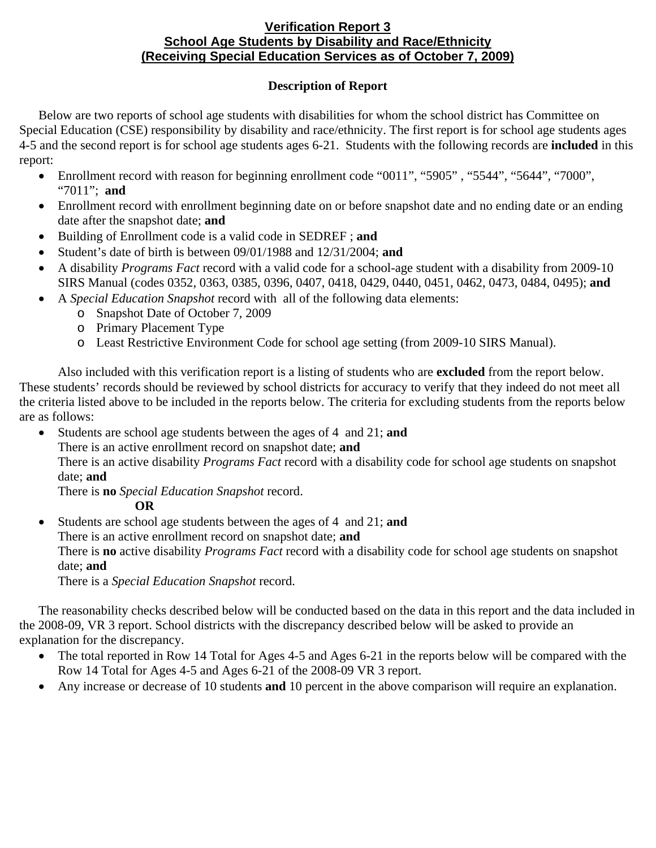## **Verification Report 3 School Age Students by Disability and Race/Ethnicity (Receiving Special Education Services as of October 7, 2009)**

## **Description of Report**

Below are two reports of school age students with disabilities for whom the school district has Committee on Special Education (CSE) responsibility by disability and race/ethnicity. The first report is for school age students ages 4-5 and the second report is for school age students ages 6-21. Students with the following records are **included** in this report:

- Enrollment record with reason for beginning enrollment code "0011", "5905", "5544", "5644", "7000", "7011"; **and**
- Enrollment record with enrollment beginning date on or before snapshot date and no ending date or an ending date after the snapshot date; **and**
- Building of Enrollment code is a valid code in SEDREF ; **and**
- Student's date of birth is between 09/01/1988 and 12/31/2004; **and**
- A disability *Programs Fact* record with a valid code for a school-age student with a disability from 2009-10 SIRS Manual (codes 0352, 0363, 0385, 0396, 0407, 0418, 0429, 0440, 0451, 0462, 0473, 0484, 0495); **and**
- A *Special Education Snapshot* record with all of the following data elements:
	- o Snapshot Date of October 7, 2009
		- o Primary Placement Type
		- o Least Restrictive Environment Code for school age setting (from 2009-10 SIRS Manual).

Also included with this verification report is a listing of students who are **excluded** from the report below. These students' records should be reviewed by school districts for accuracy to verify that they indeed do not meet all the criteria listed above to be included in the reports below. The criteria for excluding students from the reports below are as follows:

- Students are school age students between the ages of 4 and 21; **and** 
	- There is an active enrollment record on snapshot date; **and**

There is an active disability *Programs Fact* record with a disability code for school age students on snapshot date; **and**

There is **no** *Special Education Snapshot* record.

**OR** 

• Students are school age students between the ages of 4 and 21; **and** There is an active enrollment record on snapshot date; **and** 

There is **no** active disability *Programs Fact* record with a disability code for school age students on snapshot date; **and**

There is a *Special Education Snapshot* record.

The reasonability checks described below will be conducted based on the data in this report and the data included in the 2008-09, VR 3 report. School districts with the discrepancy described below will be asked to provide an explanation for the discrepancy.

- The total reported in Row 14 Total for Ages 4-5 and Ages 6-21 in the reports below will be compared with the Row 14 Total for Ages 4-5 and Ages 6-21 of the 2008-09 VR 3 report.
- Any increase or decrease of 10 students **and** 10 percent in the above comparison will require an explanation.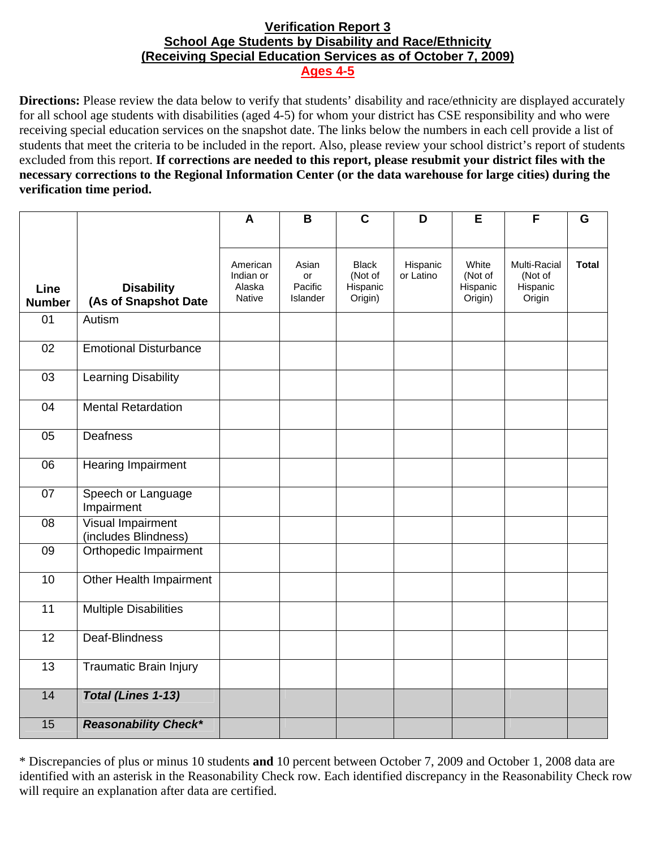## **Verification Report 3 School Age Students by Disability and Race/Ethnicity (Receiving Special Education Services as of October 7, 2009) Ages 4-5**

**Directions:** Please review the data below to verify that students' disability and race/ethnicity are displayed accurately for all school age students with disabilities (aged 4-5) for whom your district has CSE responsibility and who were receiving special education services on the snapshot date. The links below the numbers in each cell provide a list of students that meet the criteria to be included in the report. Also, please review your school district's report of students excluded from this report. **If corrections are needed to this report, please resubmit your district files with the necessary corrections to the Regional Information Center (or the data warehouse for large cities) during the verification time period.**

|                       |                                                  | A                                                | B                                         | $\mathbf C$                                    | D                     | E                                       | F                                             | G            |
|-----------------------|--------------------------------------------------|--------------------------------------------------|-------------------------------------------|------------------------------------------------|-----------------------|-----------------------------------------|-----------------------------------------------|--------------|
|                       |                                                  |                                                  |                                           |                                                |                       |                                         |                                               |              |
| Line<br><b>Number</b> | <b>Disability</b><br>(As of Snapshot Date        | American<br>Indian or<br>Alaska<br><b>Native</b> | Asian<br>or<br>Pacific<br><b>Islander</b> | <b>Black</b><br>(Not of<br>Hispanic<br>Origin) | Hispanic<br>or Latino | White<br>(Not of<br>Hispanic<br>Origin) | Multi-Racial<br>(Not of<br>Hispanic<br>Origin | <b>Total</b> |
| 01                    | Autism                                           |                                                  |                                           |                                                |                       |                                         |                                               |              |
| 02                    | <b>Emotional Disturbance</b>                     |                                                  |                                           |                                                |                       |                                         |                                               |              |
| 03                    | <b>Learning Disability</b>                       |                                                  |                                           |                                                |                       |                                         |                                               |              |
| 04                    | <b>Mental Retardation</b>                        |                                                  |                                           |                                                |                       |                                         |                                               |              |
| 05                    | <b>Deafness</b>                                  |                                                  |                                           |                                                |                       |                                         |                                               |              |
| 06                    | Hearing Impairment                               |                                                  |                                           |                                                |                       |                                         |                                               |              |
| 07                    | Speech or Language<br>Impairment                 |                                                  |                                           |                                                |                       |                                         |                                               |              |
| 08                    | <b>Visual Impairment</b><br>(includes Blindness) |                                                  |                                           |                                                |                       |                                         |                                               |              |
| 09                    | Orthopedic Impairment                            |                                                  |                                           |                                                |                       |                                         |                                               |              |
| 10                    | Other Health Impairment                          |                                                  |                                           |                                                |                       |                                         |                                               |              |
| 11                    | <b>Multiple Disabilities</b>                     |                                                  |                                           |                                                |                       |                                         |                                               |              |
| 12                    | Deaf-Blindness                                   |                                                  |                                           |                                                |                       |                                         |                                               |              |
| 13                    | <b>Traumatic Brain Injury</b>                    |                                                  |                                           |                                                |                       |                                         |                                               |              |
| 14                    | Total (Lines 1-13)                               |                                                  |                                           |                                                |                       |                                         |                                               |              |
| 15                    | <b>Reasonability Check*</b>                      |                                                  |                                           |                                                |                       |                                         |                                               |              |

<sup>\*</sup> Discrepancies of plus or minus 10 students **and** 10 percent between October 7, 2009 and October 1, 2008 data are identified with an asterisk in the Reasonability Check row. Each identified discrepancy in the Reasonability Check row will require an explanation after data are certified.